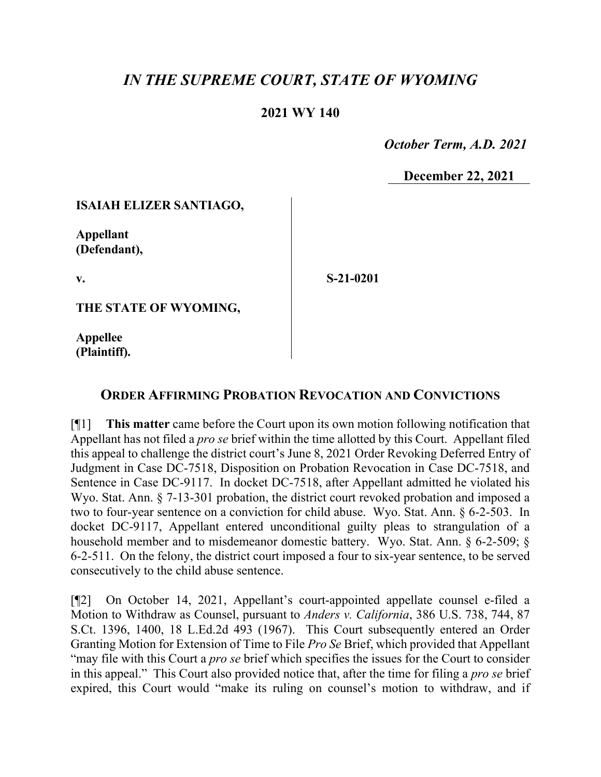# *IN THE SUPREME COURT, STATE OF WYOMING*

# **2021 WY 140**

 *October Term, A.D. 2021*

**December 22, 2021**

### **ISAIAH ELIZER SANTIAGO,**

**Appellant (Defendant),**

**v.**

**S-21-0201**

**THE STATE OF WYOMING,**

**Appellee (Plaintiff).**

# **ORDER AFFIRMING PROBATION REVOCATION AND CONVICTIONS**

[¶1] **This matter** came before the Court upon its own motion following notification that Appellant has not filed a *pro se* brief within the time allotted by this Court. Appellant filed this appeal to challenge the district court's June 8, 2021 Order Revoking Deferred Entry of Judgment in Case DC-7518, Disposition on Probation Revocation in Case DC-7518, and Sentence in Case DC-9117. In docket DC-7518, after Appellant admitted he violated his Wyo. Stat. Ann. § 7-13-301 probation, the district court revoked probation and imposed a two to four-year sentence on a conviction for child abuse. Wyo. Stat. Ann. § 6-2-503. In docket DC-9117, Appellant entered unconditional guilty pleas to strangulation of a household member and to misdemeanor domestic battery. Wyo. Stat. Ann. § 6-2-509; § 6-2-511. On the felony, the district court imposed a four to six-year sentence, to be served consecutively to the child abuse sentence.

[¶2] On October 14, 2021, Appellant's court-appointed appellate counsel e-filed a Motion to Withdraw as Counsel, pursuant to *Anders v. California*, 386 U.S. 738, 744, 87 S.Ct. 1396, 1400, 18 L.Ed.2d 493 (1967). This Court subsequently entered an Order Granting Motion for Extension of Time to File *Pro Se* Brief, which provided that Appellant "may file with this Court a *pro se* brief which specifies the issues for the Court to consider in this appeal." This Court also provided notice that, after the time for filing a *pro se* brief expired, this Court would "make its ruling on counsel's motion to withdraw, and if